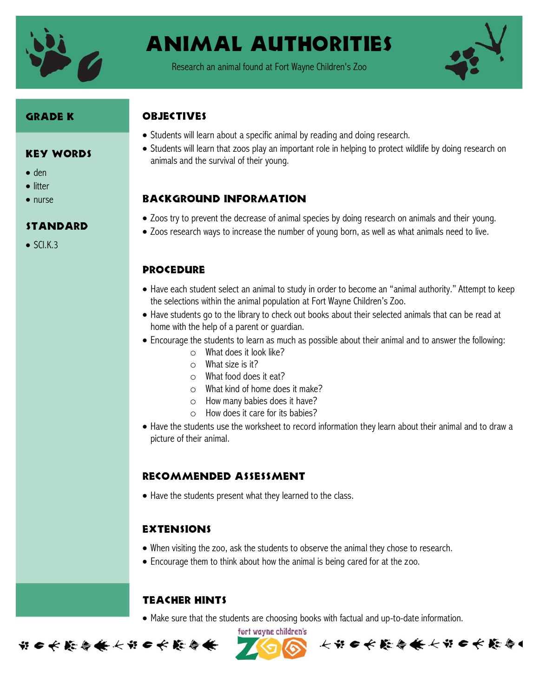

# Animal authorities

Research an animal found at Fort Wayne Children's Zoo



#### Grade K

#### Key Words

- $\bullet$  den
- **•** litter
- nurse

#### **STANDARD**

 $\bullet$  SCI.K.3

### **OBJECTIVES**

- Students will learn about a specific animal by reading and doing research.
- Students will learn that zoos play an important role in helping to protect wildlife by doing research on animals and the survival of their young.

## Background information

- Zoos try to prevent the decrease of animal species by doing research on animals and their young.
- Zoos research ways to increase the number of young born, as well as what animals need to live.

#### **PROCEDURE**

- Have each student select an animal to study in order to become an "animal authority." Attempt to keep the selections within the animal population at Fort Wayne Children's Zoo.
- Have students go to the library to check out books about their selected animals that can be read at home with the help of a parent or guardian.
- Encourage the students to learn as much as possible about their animal and to answer the following:
	- o What does it look like?
	- o What size is it?
	- o What food does it eat?
	- o What kind of home does it make?
	- o How many babies does it have?
	- o How does it care for its babies?
- Have the students use the worksheet to record information they learn about their animal and to draw a picture of their animal.

#### Recommended assessment

Have the students present what they learned to the class.

#### Extensions

- When visiting the zoo, ask the students to observe the animal they chose to research.
- Encourage them to think about how the animal is being cared for at the zoo.

#### Teacher Hints

Make sure that the students are choosing books with factual and up-to-date information.